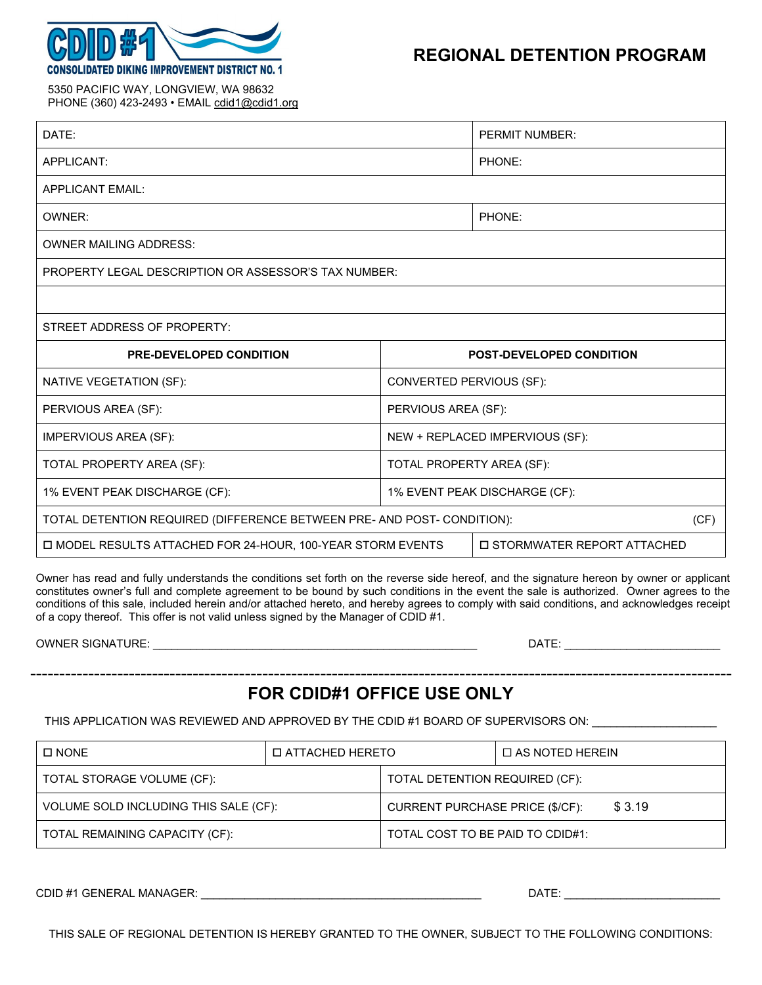

 5350 PACIFIC WAY, LONGVIEW, WA 98632 PHONE (360) 423-2493 • EMAIL cdid1@cdid1.org

| DATE:                                                                                       |                                 | <b>PERMIT NUMBER:</b> |  |  |  |
|---------------------------------------------------------------------------------------------|---------------------------------|-----------------------|--|--|--|
| APPLICANT:                                                                                  |                                 | PHONE:                |  |  |  |
| <b>APPLICANT EMAIL:</b>                                                                     |                                 |                       |  |  |  |
| OWNER:                                                                                      |                                 | PHONE:                |  |  |  |
| <b>OWNER MAILING ADDRESS:</b>                                                               |                                 |                       |  |  |  |
| <b>PROPERTY LEGAL DESCRIPTION OR ASSESSOR'S TAX NUMBER:</b>                                 |                                 |                       |  |  |  |
|                                                                                             |                                 |                       |  |  |  |
| STREET ADDRESS OF PROPERTY:                                                                 |                                 |                       |  |  |  |
| <b>PRE-DEVELOPED CONDITION</b>                                                              | <b>POST-DEVELOPED CONDITION</b> |                       |  |  |  |
| NATIVE VEGETATION (SF):                                                                     | CONVERTED PERVIOUS (SF):        |                       |  |  |  |
| PERVIOUS AREA (SF):                                                                         | PERVIOUS AREA (SF):             |                       |  |  |  |
| <b>IMPERVIOUS AREA (SF):</b>                                                                | NEW + REPLACED IMPERVIOUS (SF): |                       |  |  |  |
| TOTAL PROPERTY AREA (SF):                                                                   | TOTAL PROPERTY AREA (SF):       |                       |  |  |  |
| 1% EVENT PEAK DISCHARGE (CF):                                                               | 1% EVENT PEAK DISCHARGE (CF):   |                       |  |  |  |
| TOTAL DETENTION REQUIRED (DIFFERENCE BETWEEN PRE- AND POST- CONDITION):                     |                                 |                       |  |  |  |
| □ MODEL RESULTS ATTACHED FOR 24-HOUR, 100-YEAR STORM EVENTS<br>□ STORMWATER REPORT ATTACHED |                                 |                       |  |  |  |

Owner has read and fully understands the conditions set forth on the reverse side hereof, and the signature hereon by owner or applicant constitutes owner's full and complete agreement to be bound by such conditions in the event the sale is authorized. Owner agrees to the conditions of this sale, included herein and/or attached hereto, and hereby agrees to comply with said conditions, and acknowledges receipt of a copy thereof. This offer is not valid unless signed by the Manager of CDID #1.

|  | <b>OWNER SIGNATURE:</b> |  |  |
|--|-------------------------|--|--|
|  |                         |  |  |

OWNER SIGNATURE: \_\_\_\_\_\_\_\_\_\_\_\_\_\_\_\_\_\_\_\_\_\_\_\_\_\_\_\_\_\_\_\_\_\_\_\_\_\_\_\_\_\_\_\_\_\_\_\_\_\_\_\_ DATE: \_\_\_\_\_\_\_\_\_\_\_\_\_\_\_\_\_\_\_\_\_\_\_\_\_

-------------------------------------------------------------------------------------------------------------------------

## **FOR CDID#1 OFFICE USE ONLY**

THIS APPLICATION WAS REVIEWED AND APPROVED BY THE CDID #1 BOARD OF SUPERVISORS ON:

| □ NONE                                | <b>D ATTACHED HERETO</b> |                                           | $\Box$ AS NOTED HEREIN |  |
|---------------------------------------|--------------------------|-------------------------------------------|------------------------|--|
| TOTAL STORAGE VOLUME (CF):            |                          | TOTAL DETENTION REQUIRED (CF):            |                        |  |
| VOLUME SOLD INCLUDING THIS SALE (CF): |                          | \$3.19<br>CURRENT PURCHASE PRICE (\$/CF): |                        |  |
| TOTAL REMAINING CAPACITY (CF):        |                          | TOTAL COST TO BE PAID TO CDID#1:          |                        |  |

CDID #1 GENERAL MANAGER: \_\_\_\_\_\_\_\_\_\_\_\_\_\_\_\_\_\_\_\_\_\_\_\_\_\_\_\_\_\_\_\_\_\_\_\_\_\_\_\_\_\_\_\_\_ DATE: \_\_\_\_\_\_\_\_\_\_\_\_\_\_\_\_\_\_\_\_\_\_\_\_\_

THIS SALE OF REGIONAL DETENTION IS HEREBY GRANTED TO THE OWNER, SUBJECT TO THE FOLLOWING CONDITIONS: